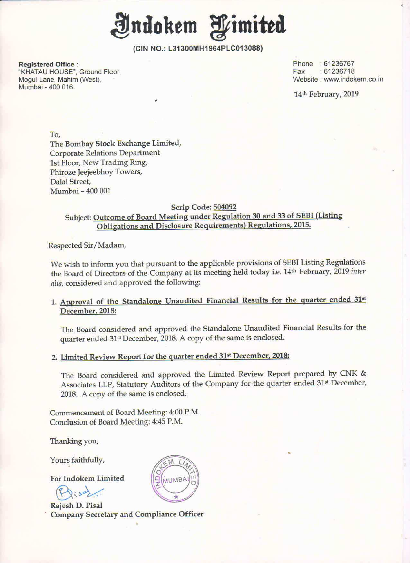

(CIN NO.: L31300MH1964PLCO13088)

Registered Office : Phone : 61236767<br>"KHATAU HOUSE", Ground Floor, Phone : 2007-01-2008, Phone : 61236718 "KHATAU HOUSE", Ground Floor, Mogul Lane, Mahim (West), Mumbai . 400 015

www.indokem.co.in

14<sup>th</sup> February, 2019

To,

The Bombay Stock Exchange Limited, Corporate Relations Department 1st Floor, New Trading Ring, Phiroze Jeejeebhoy Towers, Dalal Street, Mumbai — 400 001

## Scrip Code: 504092

Subject: Outcome of Board Meeting under Regulation 30 and 33 of SEBI (Listing Obligations and Disclosure Requirements) Regulations, 2015.

Respected Sir/Madam,

We wish to inform you that pursuant to the applicable provisions of SEBI Listing Regulations the Board of Directors of the Company at its meeting held today i.e. 14<sup>th</sup> February, 2019 inter alia, considered and approved the following:

## 1. Approval of the Standalone Unaudited Financial Results for the quarter ended 31st December. 2018:

The Board considered and approved the Standalone Unaudited Financial Results for the quarter ended 31<sup>st</sup> December, 2018. A copy of the same is enclosed.

## 2. Limited Review Report for the quarter ended 31<sup>st</sup> December, 2018:

The Board considered and approved the Limited Review Report prepared by CNK & Associates LLP, Statutory Auditors of the Company for the quarter ended 31<sup>st</sup> December, 2018. A copy of the same is enclosed.

Commencement of Board Meeting: 4:00 P.M. Conclusion of Board Meeting: 4:45 P.M.

Thanking you,

Yours faithfully,

For Indokem Limited

 $Q_1$ soz.

Rajesh D. Pisal Company Secretary and Compliance Officer

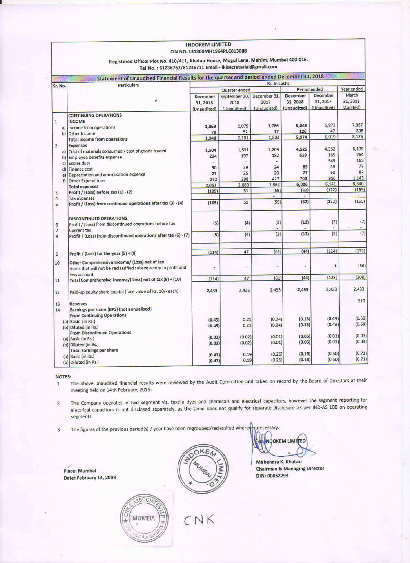| CIN NO. L31300MH1964PLC013088<br>Registered Office: Plot No. 410/411, Khatau House, Mogul Lane, Mahim, Mumbai 400 016. |                                                                                                                 |                                     |                                      |                                     |                                            |                                     |                                |
|------------------------------------------------------------------------------------------------------------------------|-----------------------------------------------------------------------------------------------------------------|-------------------------------------|--------------------------------------|-------------------------------------|--------------------------------------------|-------------------------------------|--------------------------------|
|                                                                                                                        | Tel No.: 61236767/61236711 Email - iklsecretarial@gmail.com                                                     |                                     |                                      |                                     |                                            |                                     |                                |
|                                                                                                                        | Statement of Unaudited Financial Results for the quarter and period ended December 31, 2018                     |                                     |                                      |                                     |                                            |                                     |                                |
| Sr. No.                                                                                                                | <b>Particulars</b>                                                                                              | Rs. In Lakhs                        |                                      |                                     |                                            |                                     |                                |
|                                                                                                                        |                                                                                                                 | Quarter ended                       |                                      | Period ended                        |                                            | Year ended                          |                                |
|                                                                                                                        |                                                                                                                 | December<br>31, 2018<br>(Unaudited) | September 30,<br>2018<br>(Unaudited) | December 31,<br>2017<br>(Unaudited) | <b>December</b><br>31, 2018<br>(Unaudited) | December<br>31, 2017<br>(Unaudited) | March<br>31, 2018<br>(Audited) |
|                                                                                                                        |                                                                                                                 |                                     |                                      |                                     |                                            |                                     |                                |
|                                                                                                                        | <b>CONTINUING OPERATIONS</b>                                                                                    |                                     |                                      |                                     |                                            |                                     |                                |
| $\mathbf 1$                                                                                                            | <b>INCOME</b>                                                                                                   | 1,869                               | 2,079                                | 1,786                               | 5,848                                      | 5,972                               | 7,967                          |
|                                                                                                                        | a) Income from operations                                                                                       | 79                                  | 52                                   | 17                                  | 126                                        | 47                                  | 208                            |
|                                                                                                                        | b) Other Income                                                                                                 | 1,948                               | 2,131                                | 1,803                               | 5,974                                      | 6,019                               | 8,175                          |
|                                                                                                                        | <b>Total income from operations</b>                                                                             |                                     |                                      |                                     |                                            |                                     |                                |
| $\overline{2}$                                                                                                         | <b>Expenses</b>                                                                                                 |                                     |                                      |                                     | 4,525                                      | 4,352                               | 6,109                          |
|                                                                                                                        | a) Cost of materials consumed / cost of goods traded                                                            | 1,504                               | 1,531                                | 1,209                               |                                            | 165                                 | 764                            |
| b)                                                                                                                     | Employee benefits expense                                                                                       | 224                                 | 197                                  | 182                                 | 619                                        | 549                                 | 165                            |
| $\mathsf{C}$                                                                                                           | <b>Excise duty</b>                                                                                              | ÷                                   |                                      | u.                                  |                                            |                                     | 77                             |
| d)                                                                                                                     | Finance cost                                                                                                    | 30                                  | 29                                   | 24                                  | 85                                         | 59                                  |                                |
| $\epsilon$                                                                                                             | Depreciation and amortisation expense                                                                           | 27                                  | 25                                   | 20                                  | 77                                         | 60                                  | 82                             |
| f                                                                                                                      | Other Expenditure                                                                                               | 272                                 | 298                                  | 427                                 | 700                                        | 956                                 | 1,143                          |
|                                                                                                                        | <b>Total expenses</b>                                                                                           | 2,057                               | 2,080                                | 1,862                               | 6,006                                      | 6,141                               | 8,340                          |
| 3                                                                                                                      | Profit / (Loss) before tax (1) - (2)                                                                            | (109)                               | 51                                   | (59)                                | (32)                                       | (122)                               | (165)                          |
| 4                                                                                                                      | <b>Tax expenses</b>                                                                                             |                                     |                                      | $\omega$                            | $\blacksquare$                             |                                     | $\sim$                         |
| 5                                                                                                                      | Profit / (Loss) from continued operations after tax (3) - (4)                                                   | (109)                               | 51                                   | (59)                                | (32)                                       | (122)                               | (165)                          |
|                                                                                                                        | DISCONTINUED OPERATIONS                                                                                         |                                     |                                      |                                     |                                            |                                     |                                |
| 6                                                                                                                      | Profit / (Loss) from discontinued operations before tax                                                         | (5)                                 | (4)                                  | (2)                                 | (12)                                       | (2)                                 | (7)                            |
| $\overline{\mathcal{L}}$                                                                                               | <b>Current tax</b>                                                                                              |                                     |                                      |                                     |                                            |                                     |                                |
| 8                                                                                                                      | Profit / (Loss) from discontinued operations after tax (6) - (7)                                                | (5)                                 | (4)                                  | (2)                                 | (12)                                       | (2)                                 | (7)                            |
| ٠                                                                                                                      |                                                                                                                 | (114)                               | 47                                   | (61)                                | (44)                                       | (124)                               | (172)                          |
| 9                                                                                                                      | Profit / (Loss) for the year (5) + (8)                                                                          |                                     |                                      |                                     |                                            |                                     |                                |
| 10                                                                                                                     | Other Comprehensive Income/ (Loss) net of tax<br>Items that will not be reclassified subsequently to profit and | ÷                                   | ۰                                    | s,                                  | ü                                          | 1                                   | (36)                           |
|                                                                                                                        | loss account                                                                                                    | (114)                               | 47                                   | (61)                                | (44)                                       | (123)                               | (208)                          |
| 11                                                                                                                     | Total Comprehensive Income/(Loss) net of tax (9) + (10)                                                         |                                     |                                      |                                     |                                            |                                     | 2,433                          |
| 12                                                                                                                     | Paid-up equity share capital (face value of Rs. 10/- each)                                                      | 2,433                               | 2,433                                | 2,433                               | 2,433                                      | 2,433                               |                                |
| 13                                                                                                                     | Reserves                                                                                                        |                                     |                                      |                                     |                                            |                                     | 510                            |
| 14                                                                                                                     | Earnings per share (EPS) (not annualised)                                                                       |                                     |                                      |                                     |                                            |                                     |                                |
|                                                                                                                        | <b>From Continuing Operations</b>                                                                               |                                     |                                      |                                     |                                            |                                     |                                |
|                                                                                                                        |                                                                                                                 | (0.45)                              | 0.21                                 | (0.24)                              | (0.13)                                     | (0.49)                              | (0.68)                         |
|                                                                                                                        | (a) Basic (in Rs.)                                                                                              | (0.45)                              | 0.21                                 | (0.24)                              | (0.13)                                     | (0.49)                              | (0.68)                         |
|                                                                                                                        | (b) Diluted (in Rs.)                                                                                            |                                     |                                      |                                     |                                            |                                     |                                |
|                                                                                                                        | <b>From Discontinued Operations</b>                                                                             | (0.02)                              | (0.02)                               | (0.01)                              | (0.05)                                     | (0.01)                              | (0.03)                         |
|                                                                                                                        | (a) Basic (in Rs.)                                                                                              | (0.02)                              | (0.02)                               | (0.01)                              | (0.05)                                     | (0.01)                              | (0.03)                         |
|                                                                                                                        | (b) Diluted (in Rs.)                                                                                            |                                     |                                      |                                     |                                            |                                     |                                |
|                                                                                                                        | <b>Total Earnings per share</b>                                                                                 | (0.47)                              | 0.19                                 | (0.25)                              | (0.18)                                     | (0.50)                              | (0.71)                         |
|                                                                                                                        | (a) Basic (in Rs.)                                                                                              | (0.47)                              | 0.19                                 | (0.25)                              | (0.18)                                     | (0.50)                              | (0.71)                         |
|                                                                                                                        | (b) Diluted (in Rs.)                                                                                            |                                     |                                      |                                     |                                            |                                     |                                |

**INDOKEM LIMITED** 

**NOTES:** 

The above unaudited financial results were reviewed by the Audit Committee and taken on record by the Board of Directors at their  $\mathbf 1$ meeting held on 14th February, 2019.

The Company operates in two segment viz. textile dyes and chemicals and electrical capacitors, however the segment reporting for  $\overline{2}$ electrical capacitors is not disclosed separately, as the same does not qualify for separate disclosure as per IND-AS 108 on operating segments.

CNK

The figures of the previous period(s) / year have been regrouped/reclassifed wherever necessary.  $\overline{3}$ 

Place: Mumbai Date: February 14, 2019





Mahendra K. Khatau **Chairman & Managing Director** DIN: 00062794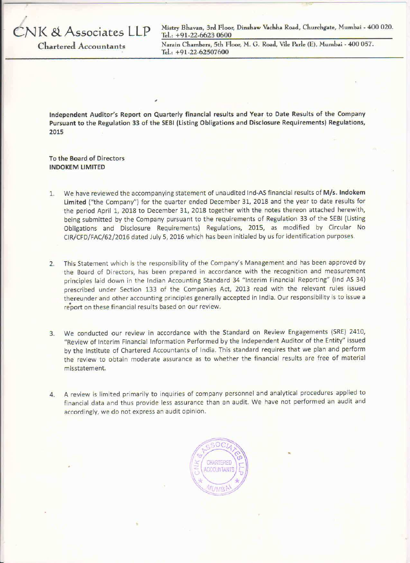Mistry Bhavan, 3rd Floor, Dinshaw Vachha Road, Churchgate, Mumbai - 400 020. Tel.:  $+91-22-66230600$ 

**Chartered Accountants** 

VK & Associates LLP

Narain Chambers, 5th Floor, M. G. Road, Vile Parle (E), Mumbai - 400 057. Tel.:  $+91-22-62507600$ 

Independent Auditor's Report on Quarterly financial results and Year to Date Results of the Company Pursuant to the Regulation 33 of the SEBI (Listing Obligations and Disclosure Requirements) Regulations, 2015

To the Board of Directors **INDOKEM LIMITED** 

- We have reviewed the accompanying statement of unaudited Ind-AS financial results of M/s. Indokem  $1.$ Limited ("the Company") for the quarter ended December 31, 2018 and the year to date results for the period April 1, 2018 to December 31, 2018 together with the notes thereon attached herewith, being submitted by the Company pursuant to the requirements of Regulation 33 of the SEBI (Listing Obligations and Disclosure Requirements) Regulations, 2015, as modified by Circular No CIR/CFD/FAC/62/2016 dated July 5, 2016 which has been initialed by us for identification purposes.
- This Statement which is the responsibility of the Company's Management and has been approved by  $2.$ the Board of Directors, has been prepared in accordance with the recognition and measurement principles laid down in the Indian Accounting Standard 34 "Interim Financial Reporting" (Ind AS 34) prescribed under Section 133 of the Companies Act, 2013 read with the relevant rules issued thereunder and other accounting principles generally accepted in India. Our responsibility is to issue a report on these financial results based on our review.
- We conducted our review in accordance with the Standard on Review Engagements (SRE) 2410,  $3.$ "Review of Interim Financial Information Performed by the Independent Auditor of the Entity" issued by the Institute of Chartered Accountants of India. This standard requires that we plan and perform the review to obtain moderate assurance as to whether the financial results are free of material misstatement.
- 4. A review is limited primarily to inquiries of company personnel and analytical procedures applied to financial data and thus provide less assurance than an audit. We have not performed an audit and accordingly, we do not express an audit opinion.